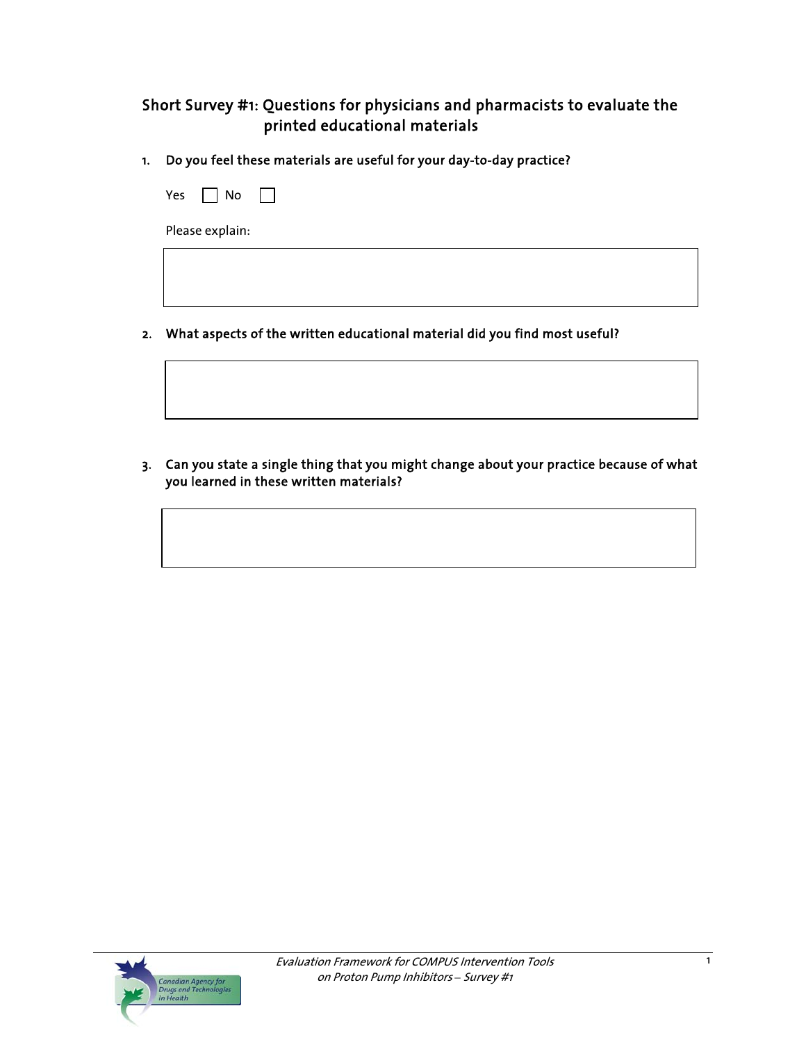# Short Survey #1: Questions for physicians and pharmacists to evaluate the printed educational materials

1. Do you feel these materials are useful for your day-to-day practice?

| Yes $\Box$ No $\Box$ |  |  |  |
|----------------------|--|--|--|
| Please explain:      |  |  |  |
|                      |  |  |  |
|                      |  |  |  |

2. What aspects of the written educational material did you find most useful?

3. Can you state a single thing that you might change about your practice because of what you learned in these written materials?

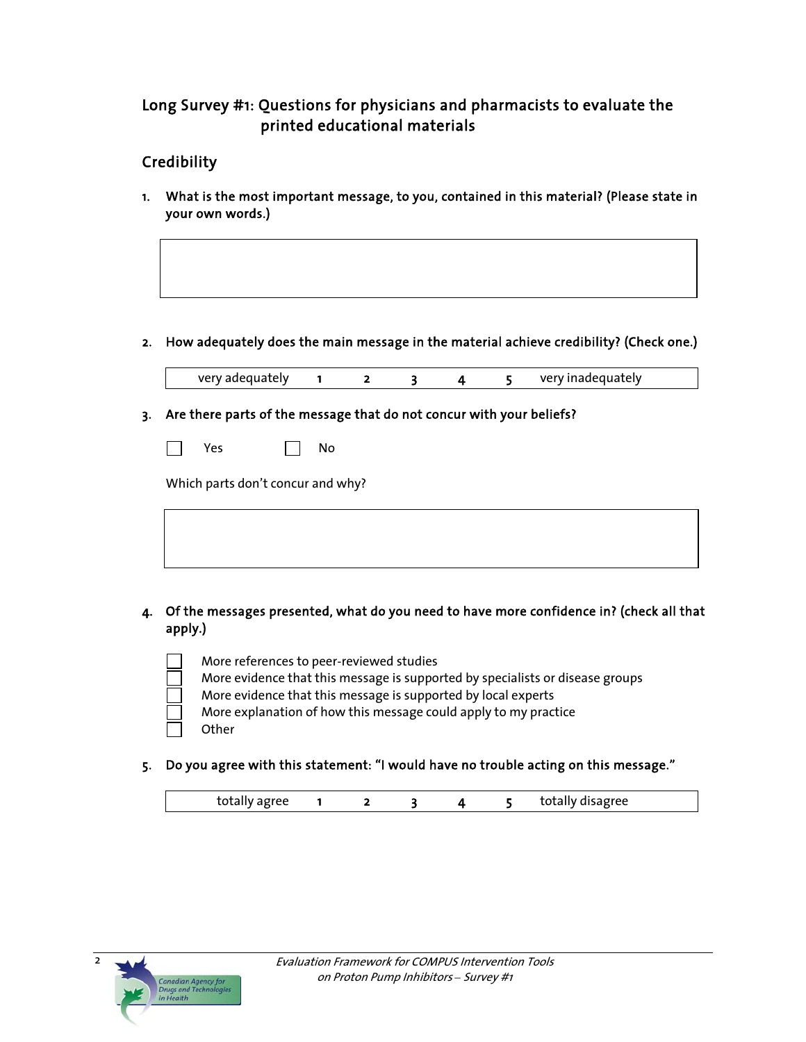## Long Survey #1: Questions for physicians and pharmacists to evaluate the printed educational materials

## **Credibility**

1. What is the most important message, to you, contained in this material? (Please state in your own words.)

#### 2. How adequately does the main message in the material achieve credibility? (Check one.)

very adequately 1 2 3 4 5 very inadequately

#### 3. Are there parts of the message that do not concur with your beliefs?

| -- |  | N٥<br>- |
|----|--|---------|
|    |  |         |

Which parts don't concur and why?

# 4. Of the messages presented, what do you need to have more confidence in? (check all that apply.)

- More references to peer-reviewed studies More evidence that this message is supported by specialists or disease groups More evidence that this message is supported by local experts More explanation of how this message could apply to my practice **Other**
- 5. Do you agree with this statement: "I would have no trouble acting on this message."

|  |  | - | $\cdot\cdot\cdot$ |  |
|--|--|---|-------------------|--|
|  |  |   |                   |  |

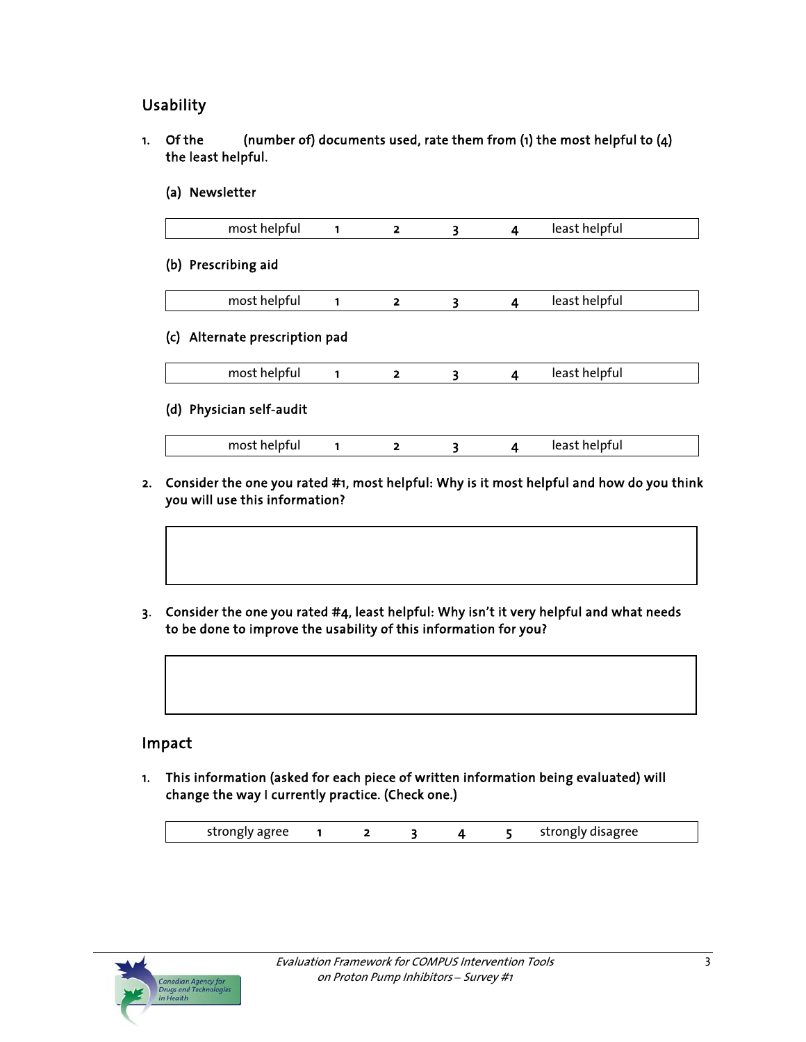## Usability

- 1. Of the  $(4)$  (number of) documents used, rate them from (1) the most helpful to  $(4)$  the least helpful.
	- (a) Newsletter

| most helpful             | 1 | $\overline{\mathbf{z}}$    | 3 | $\overline{4}$ | least helpful |  |
|--------------------------|---|----------------------------|---|----------------|---------------|--|
| (b) Prescribing aid      |   |                            |   |                |               |  |
| most helpful             | 1 | $\overline{\mathbf{2}}$    | 3 | $\overline{4}$ | least helpful |  |
|                          |   |                            |   |                |               |  |
| most helpful             |   | 2                          | 3 | 4              | least helpful |  |
| (d) Physician self-audit |   |                            |   |                |               |  |
| most helpful             |   | 2                          | 3 | 4              | least helpful |  |
|                          |   | Alternate prescription pad |   |                |               |  |

- 2. Consider the one you rated #1, most helpful: Why is it most helpful and how do you think you will use this information?
- 3. Consider the one you rated #4, least helpful: Why isn't it very helpful and what needs to be done to improve the usability of this information for you?



### Impact

1. This information (asked for each piece of written information being evaluated) will change the way I currently practice. (Check one.)

| -----<br>ັ |  |  |  |  | -- |
|------------|--|--|--|--|----|
|------------|--|--|--|--|----|